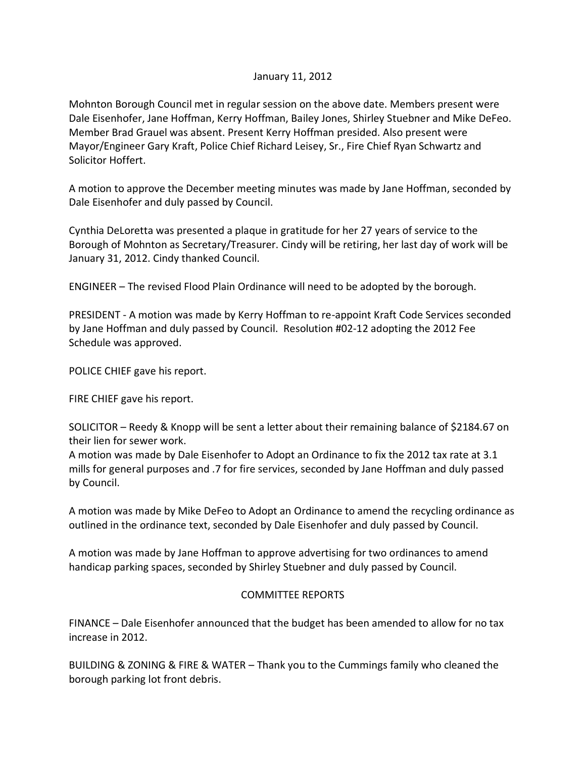## January 11, 2012

Mohnton Borough Council met in regular session on the above date. Members present were Dale Eisenhofer, Jane Hoffman, Kerry Hoffman, Bailey Jones, Shirley Stuebner and Mike DeFeo. Member Brad Grauel was absent. Present Kerry Hoffman presided. Also present were Mayor/Engineer Gary Kraft, Police Chief Richard Leisey, Sr., Fire Chief Ryan Schwartz and Solicitor Hoffert.

A motion to approve the December meeting minutes was made by Jane Hoffman, seconded by Dale Eisenhofer and duly passed by Council.

Cynthia DeLoretta was presented a plaque in gratitude for her 27 years of service to the Borough of Mohnton as Secretary/Treasurer. Cindy will be retiring, her last day of work will be January 31, 2012. Cindy thanked Council.

ENGINEER – The revised Flood Plain Ordinance will need to be adopted by the borough.

PRESIDENT - A motion was made by Kerry Hoffman to re-appoint Kraft Code Services seconded by Jane Hoffman and duly passed by Council. Resolution #02-12 adopting the 2012 Fee Schedule was approved.

POLICE CHIEF gave his report.

FIRE CHIEF gave his report.

SOLICITOR – Reedy & Knopp will be sent a letter about their remaining balance of \$2184.67 on their lien for sewer work.

A motion was made by Dale Eisenhofer to Adopt an Ordinance to fix the 2012 tax rate at 3.1 mills for general purposes and .7 for fire services, seconded by Jane Hoffman and duly passed by Council.

A motion was made by Mike DeFeo to Adopt an Ordinance to amend the recycling ordinance as outlined in the ordinance text, seconded by Dale Eisenhofer and duly passed by Council.

A motion was made by Jane Hoffman to approve advertising for two ordinances to amend handicap parking spaces, seconded by Shirley Stuebner and duly passed by Council.

## COMMITTEE REPORTS

FINANCE – Dale Eisenhofer announced that the budget has been amended to allow for no tax increase in 2012.

BUILDING & ZONING & FIRE & WATER – Thank you to the Cummings family who cleaned the borough parking lot front debris.